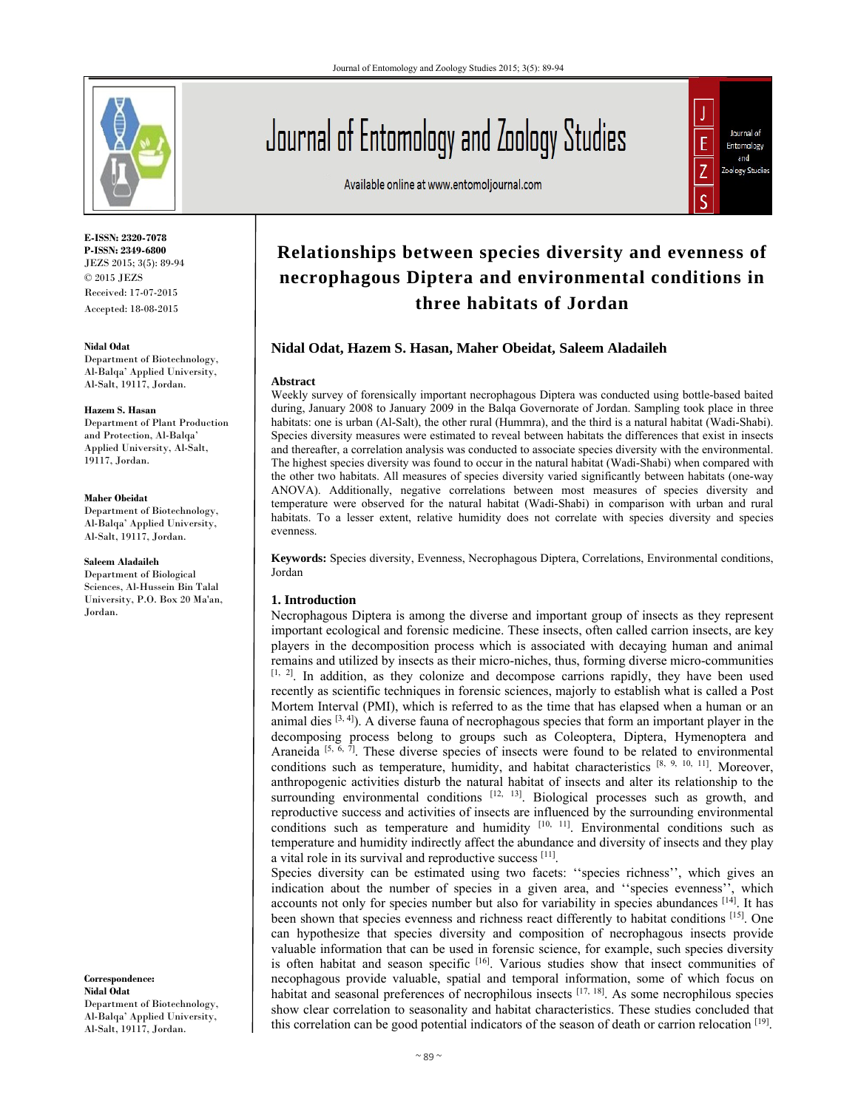

**E-ISSN: 2320-7078 P-ISSN: 2349-6800** JEZS 2015; 3(5): 89-94 © 2015 JEZS Received: 17-07-2015 Accepted: 18-08-2015

#### **Nidal Odat**

Department of Biotechnology, Al-Balqa' Applied University, Al-Salt, 19117, Jordan.

#### **Hazem S. Hasan**

Department of Plant Production and Protection, Al-Balqa' Applied University, Al-Salt, 19117, Jordan.

#### **Maher Obeidat**

Department of Biotechnology, Al-Balqa' Applied University, Al-Salt, 19117, Jordan.

#### **Saleem Aladaileh**

Department of Biological Sciences, Al-Hussein Bin Talal University, P.O. Box 20 Ma'an, Jordan.

**Correspondence: Nidal Odat**  Department of Biotechnology, Al-Balqa' Applied University, Al-Salt, 19117, Jordan.

# Journal of Entomology and Zoology Studies

Available online at www.entomoljournal.com



# **Relationships between species diversity and evenness of necrophagous Diptera and environmental conditions in three habitats of Jordan**

# **Nidal Odat, Hazem S. Hasan, Maher Obeidat, Saleem Aladaileh**

#### **Abstract**

Weekly survey of forensically important necrophagous Diptera was conducted using bottle-based baited during, January 2008 to January 2009 in the Balqa Governorate of Jordan. Sampling took place in three habitats: one is urban (Al-Salt), the other rural (Hummra), and the third is a natural habitat (Wadi-Shabi). Species diversity measures were estimated to reveal between habitats the differences that exist in insects and thereafter, a correlation analysis was conducted to associate species diversity with the environmental. The highest species diversity was found to occur in the natural habitat (Wadi-Shabi) when compared with the other two habitats. All measures of species diversity varied significantly between habitats (one-way ANOVA). Additionally, negative correlations between most measures of species diversity and temperature were observed for the natural habitat (Wadi-Shabi) in comparison with urban and rural habitats. To a lesser extent, relative humidity does not correlate with species diversity and species evenness.

**Keywords:** Species diversity, Evenness, Necrophagous Diptera, Correlations, Environmental conditions, Jordan

#### **1. Introduction**

Necrophagous Diptera is among the diverse and important group of insects as they represent important ecological and forensic medicine. These insects, often called carrion insects, are key players in the decomposition process which is associated with decaying human and animal remains and utilized by insects as their micro-niches, thus, forming diverse micro-communities [1, 2]. In addition, as they colonize and decompose carrions rapidly, they have been used recently as scientific techniques in forensic sciences, majorly to establish what is called a Post Mortem Interval (PMI), which is referred to as the time that has elapsed when a human or an animal dies  $[3, 4]$ ). A diverse fauna of necrophagous species that form an important player in the decomposing process belong to groups such as Coleoptera, Diptera, Hymenoptera and Araneida <sup>[5,  $\tilde{6}$ ,  $\bar{7}$ ]. These diverse species of insects were found to be related to environmental</sup> conditions such as temperature, humidity, and habitat characteristics [8, 9, 10, 11]. Moreover, anthropogenic activities disturb the natural habitat of insects and alter its relationship to the surrounding environmental conditions  $[12, 13]$ . Biological processes such as growth, and reproductive success and activities of insects are influenced by the surrounding environmental conditions such as temperature and humidity <sup>[10, 11]</sup>. Environmental conditions such as temperature and humidity indirectly affect the abundance and diversity of insects and they play a vital role in its survival and reproductive success [11].

Species diversity can be estimated using two facets: ''species richness'', which gives an indication about the number of species in a given area, and ''species evenness'', which accounts not only for species number but also for variability in species abundances [14]. It has been shown that species evenness and richness react differently to habitat conditions [15]. One can hypothesize that species diversity and composition of necrophagous insects provide valuable information that can be used in forensic science, for example, such species diversity is often habitat and season specific [16]. Various studies show that insect communities of necophagous provide valuable, spatial and temporal information, some of which focus on habitat and seasonal preferences of necrophilous insects  $[17, 18]$ . As some necrophilous species show clear correlation to seasonality and habitat characteristics. These studies concluded that this correlation can be good potential indicators of the season of death or carrion relocation [19].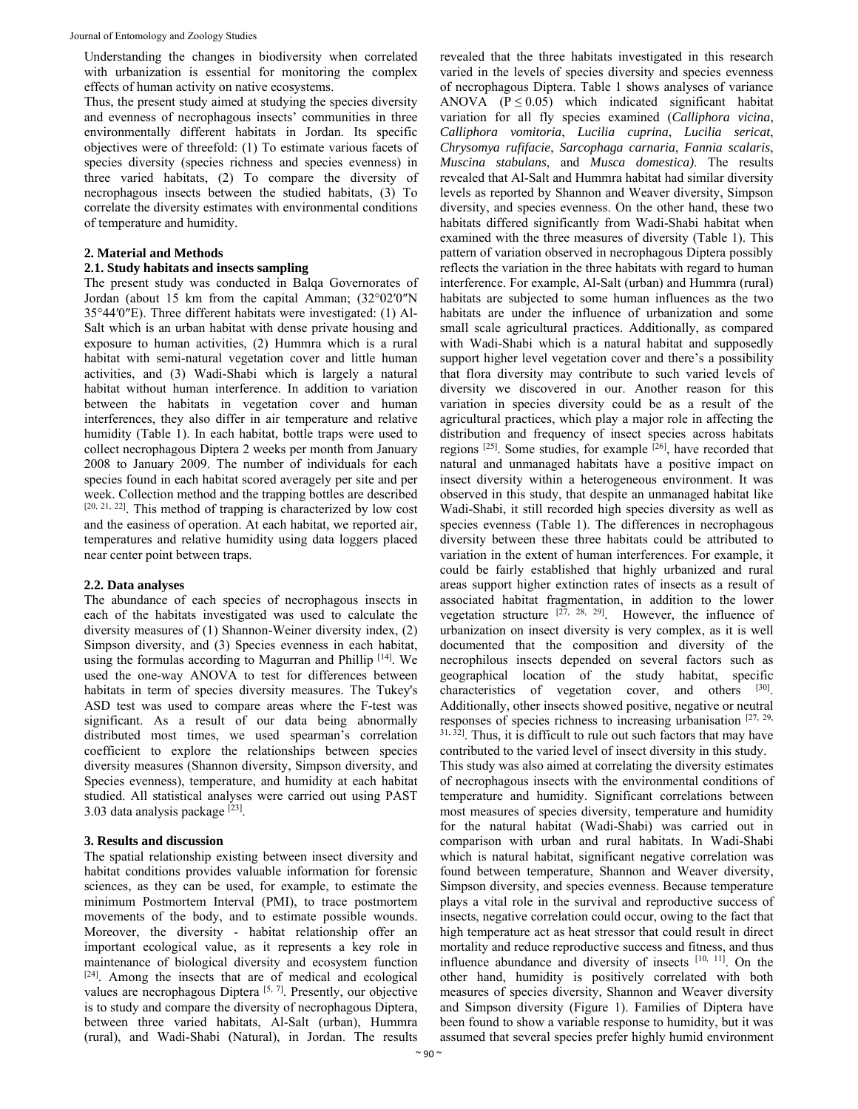Understanding the changes in biodiversity when correlated with urbanization is essential for monitoring the complex effects of human activity on native ecosystems.

Thus, the present study aimed at studying the species diversity and evenness of necrophagous insects' communities in three environmentally different habitats in Jordan. Its specific objectives were of threefold: (1) To estimate various facets of species diversity (species richness and species evenness) in three varied habitats, (2) To compare the diversity of necrophagous insects between the studied habitats, (3) To correlate the diversity estimates with environmental conditions of temperature and humidity.

#### **2. Material and Methods**

## **2.1. Study habitats and insects sampling**

The present study was conducted in Balqa Governorates of Jordan (about 15 km from the capital Amman; (32°02′0″N 35°44′0″E). Three different habitats were investigated: (1) Al-Salt which is an urban habitat with dense private housing and exposure to human activities, (2) Hummra which is a rural habitat with semi-natural vegetation cover and little human activities, and (3) Wadi-Shabi which is largely a natural habitat without human interference. In addition to variation between the habitats in vegetation cover and human interferences, they also differ in air temperature and relative humidity (Table 1). In each habitat, bottle traps were used to collect necrophagous Diptera 2 weeks per month from January 2008 to January 2009. The number of individuals for each species found in each habitat scored averagely per site and per week. Collection method and the trapping bottles are described [20, 21, 22]. This method of trapping is characterized by low cost and the easiness of operation. At each habitat, we reported air, temperatures and relative humidity using data loggers placed near center point between traps.

# **2.2. Data analyses**

The abundance of each species of necrophagous insects in each of the habitats investigated was used to calculate the diversity measures of (1) Shannon-Weiner diversity index, (2) Simpson diversity, and (3) Species evenness in each habitat, using the formulas according to Magurran and Phillip [14]. We used the one-way ANOVA to test for differences between habitats in term of species diversity measures. The Tukey's ASD test was used to compare areas where the F-test was significant. As a result of our data being abnormally distributed most times, we used spearman's correlation coefficient to explore the relationships between species diversity measures (Shannon diversity, Simpson diversity, and Species evenness), temperature, and humidity at each habitat studied. All statistical analyses were carried out using PAST 3.03 data analysis package [23].

# **3. Results and discussion**

The spatial relationship existing between insect diversity and habitat conditions provides valuable information for forensic sciences, as they can be used, for example, to estimate the minimum Postmortem Interval (PMI), to trace postmortem movements of the body, and to estimate possible wounds. Moreover, the diversity - habitat relationship offer an important ecological value, as it represents a key role in maintenance of biological diversity and ecosystem function [24]. Among the insects that are of medical and ecological values are necrophagous Diptera [5, 7]. Presently, our objective is to study and compare the diversity of necrophagous Diptera, between three varied habitats, Al-Salt (urban), Hummra (rural), and Wadi-Shabi (Natural), in Jordan. The results

revealed that the three habitats investigated in this research varied in the levels of species diversity and species evenness of necrophagous Diptera. Table 1 shows analyses of variance ANOVA ( $P \le 0.05$ ) which indicated significant habitat variation for all fly species examined (*Calliphora vicina*, *Calliphora vomitoria*, *Lucilia cuprina*, *Lucilia sericat*, *Chrysomya rufifacie*, *Sarcophaga carnaria*, *Fannia scalaris*, *Muscina stabulans*, and *Musca domestica)*. The results revealed that Al-Salt and Hummra habitat had similar diversity levels as reported by Shannon and Weaver diversity, Simpson diversity, and species evenness. On the other hand, these two habitats differed significantly from Wadi-Shabi habitat when examined with the three measures of diversity (Table 1). This pattern of variation observed in necrophagous Diptera possibly reflects the variation in the three habitats with regard to human interference. For example, Al-Salt (urban) and Hummra (rural) habitats are subjected to some human influences as the two habitats are under the influence of urbanization and some small scale agricultural practices. Additionally, as compared with Wadi-Shabi which is a natural habitat and supposedly support higher level vegetation cover and there's a possibility that flora diversity may contribute to such varied levels of diversity we discovered in our. Another reason for this variation in species diversity could be as a result of the agricultural practices, which play a major role in affecting the distribution and frequency of insect species across habitats regions  $^{[25]}$ . Some studies, for example  $^{[26]}$ , have recorded that natural and unmanaged habitats have a positive impact on insect diversity within a heterogeneous environment. It was observed in this study, that despite an unmanaged habitat like Wadi-Shabi, it still recorded high species diversity as well as species evenness (Table 1). The differences in necrophagous diversity between these three habitats could be attributed to variation in the extent of human interferences. For example, it could be fairly established that highly urbanized and rural areas support higher extinction rates of insects as a result of associated habitat fragmentation, in addition to the lower vegetation structure  $^{[27, 28, 29]}$ . However, the influence of urbanization on insect diversity is very complex, as it is well documented that the composition and diversity of the necrophilous insects depended on several factors such as geographical location of the study habitat, specific characteristics of vegetation cover, and others [30]. Additionally, other insects showed positive, negative or neutral responses of species richness to increasing urbanisation  $[27, 29, 29]$  $31, 32$ ]. Thus, it is difficult to rule out such factors that may have contributed to the varied level of insect diversity in this study. This study was also aimed at correlating the diversity estimates

of necrophagous insects with the environmental conditions of temperature and humidity. Significant correlations between most measures of species diversity, temperature and humidity for the natural habitat (Wadi-Shabi) was carried out in comparison with urban and rural habitats. In Wadi-Shabi which is natural habitat, significant negative correlation was found between temperature, Shannon and Weaver diversity, Simpson diversity, and species evenness. Because temperature plays a vital role in the survival and reproductive success of insects, negative correlation could occur, owing to the fact that high temperature act as heat stressor that could result in direct mortality and reduce reproductive success and fitness, and thus influence abundance and diversity of insects [10, 11]. On the other hand, humidity is positively correlated with both measures of species diversity, Shannon and Weaver diversity and Simpson diversity (Figure 1). Families of Diptera have been found to show a variable response to humidity, but it was assumed that several species prefer highly humid environment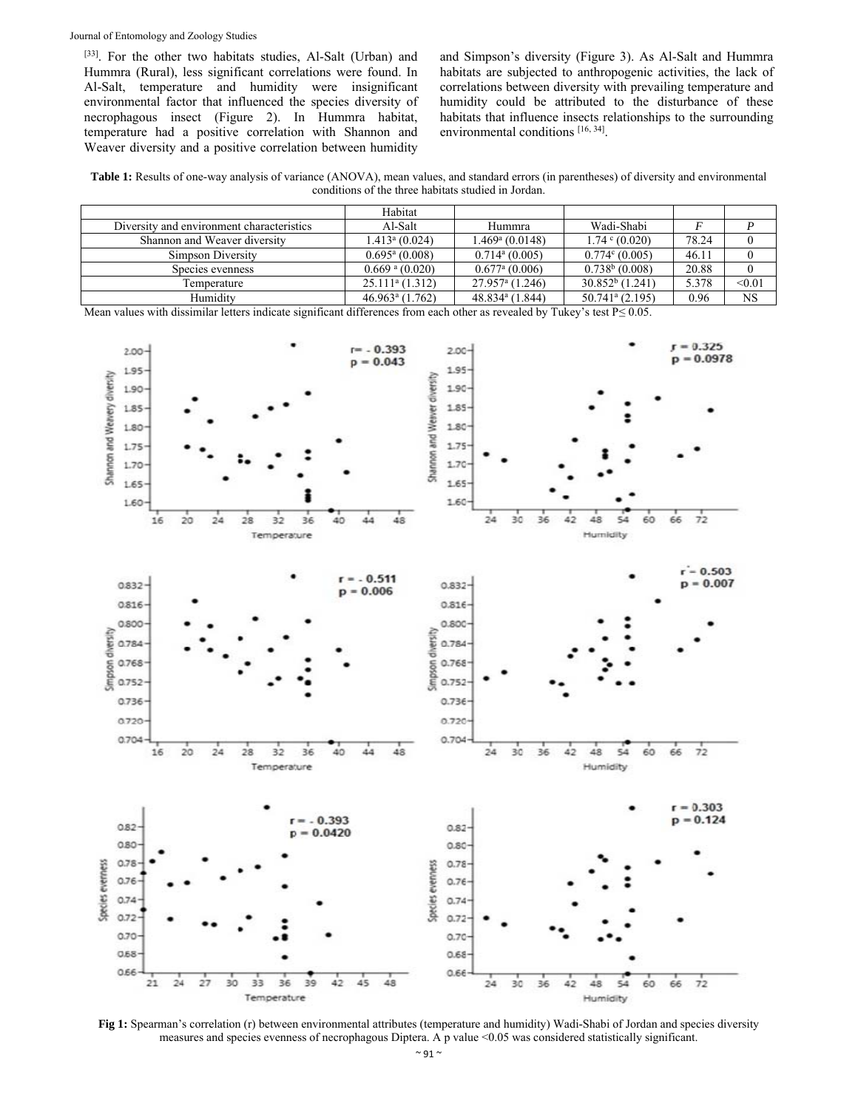[33]. For the other two habitats studies, Al-Salt (Urban) and Hummra (Rural), less significant correlations were found. In Al-Salt, temperature and humidity were insignificant environmental factor that influenced the species diversity of necrophagous insect (Figure 2). In Hummra habitat, temperature had a positive correlation with Shannon and Weaver diversity and a positive correlation between humidity

and Simpson's diversity (Figure 3). As Al-Salt and Hummra habitats are subjected to anthropogenic activities, the lack of correlations between diversity with prevailing temperature and humidity could be attributed to the disturbance of these habitats that influence insects relationships to the surrounding environmental conditions [16, 34].

**Table 1:** Results of one-way analysis of variance (ANOVA), mean values, and standard errors (in parentheses) of diversity and environmental conditions of the three habitats studied in Jordan.

|                                           | Habitat                      |                                |                               |       |                        |
|-------------------------------------------|------------------------------|--------------------------------|-------------------------------|-------|------------------------|
| Diversity and environment characteristics | Al-Salt                      | Hummra                         | Wadi-Shabi                    |       |                        |
| Shannon and Weaver diversity              | $1.413$ <sup>a</sup> (0.024) | 1.469ª (0.0148)                | $1.74 \cdot (0.020)$          | 78.24 |                        |
| Simpson Diversity                         | $0.695^{\mathrm{a}}$ (0.008) | $0.714$ <sup>a</sup> $(0.005)$ | $0.774$ <sup>c</sup> (0.005)  | 46.11 |                        |
| Species evenness                          | $0.669$ <sup>a</sup> (0.020) | $0.677a$ (0.006)               | $0.738b$ (0.008)              | 20.88 |                        |
| Temperature                               | $25.111a$ (1.312)            | $27.957a$ (1.246)              | $30.852b$ (1.241)             | 5.378 | < 0.01                 |
| Humidity                                  | $46.963a$ (1.762)            | 48.834 <sup>a</sup> (1.844)    | $50.741$ <sup>a</sup> (2.195) | 0.96  | $\overline{\text{NS}}$ |

Mean values with dissimilar letters indicate significant differences from each other as revealed by Tukey's test P≤ 0.05.



**Fig 1:** Spearman's correlation (r) between environmental attributes (temperature and humidity) Wadi-Shabi of Jordan and species diversity measures and species evenness of necrophagous Diptera. A p value <0.05 was considered statistically significant.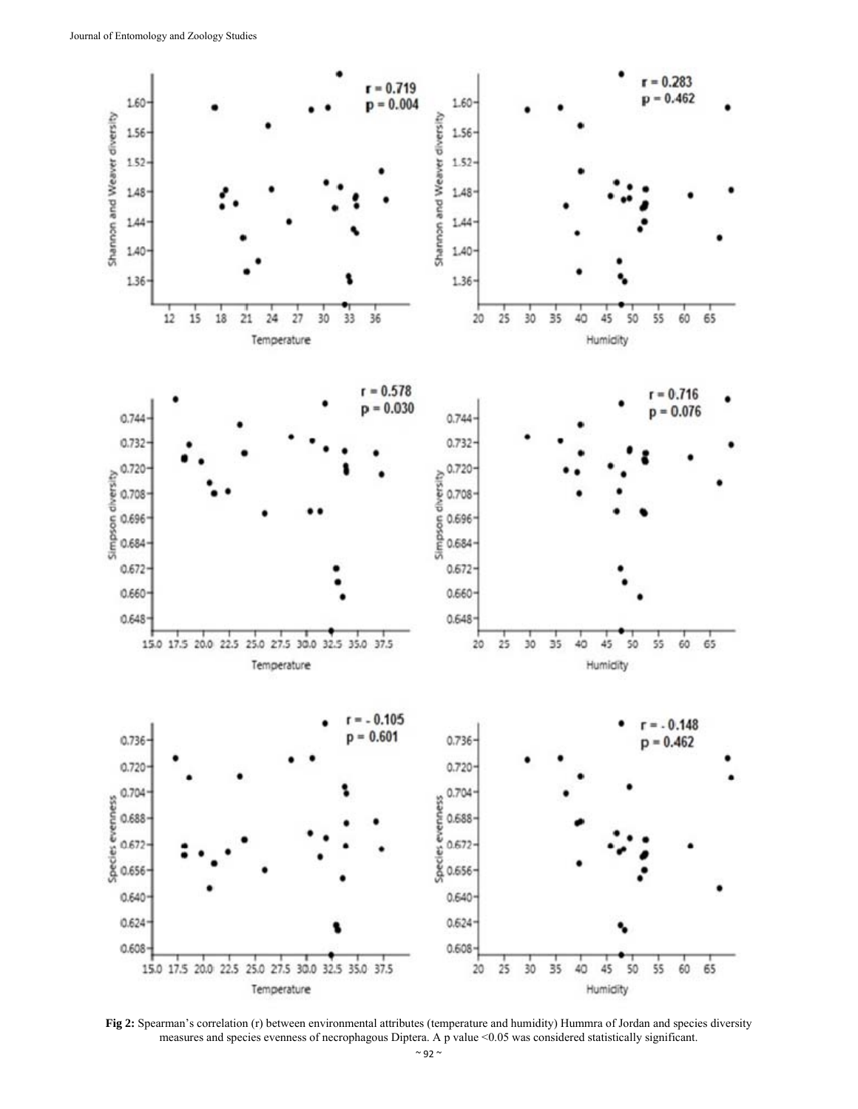

**Fig 2:** Spearman's correlation (r) between environmental attributes (temperature and humidity) Hummra of Jordan and species diversity measures and species evenness of necrophagous Diptera. A p value <0.05 was considered statistically significant.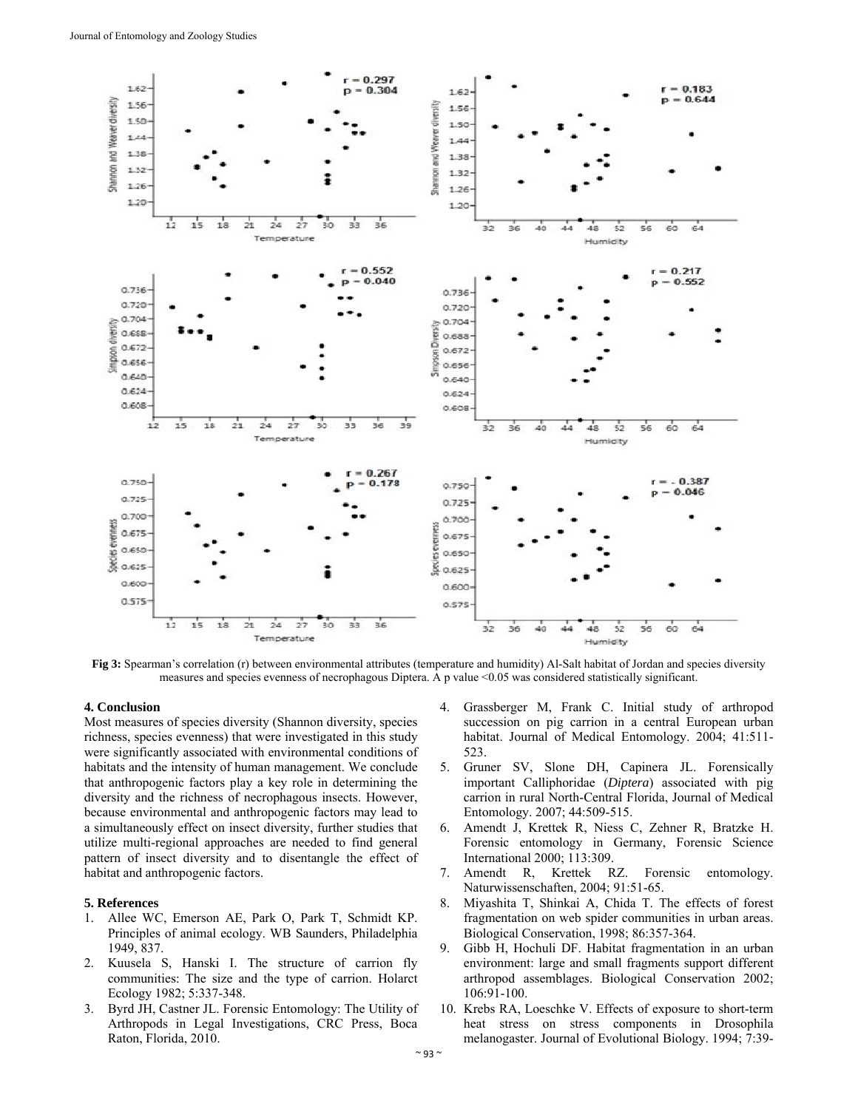

**Fig 3:** Spearman's correlation (r) between environmental attributes (temperature and humidity) Al-Salt habitat of Jordan and species diversity measures and species evenness of necrophagous Diptera. A p value <0.05 was considered statistically significant.

## **4. Conclusion**

Most measures of species diversity (Shannon diversity, species richness, species evenness) that were investigated in this study were significantly associated with environmental conditions of habitats and the intensity of human management. We conclude that anthropogenic factors play a key role in determining the diversity and the richness of necrophagous insects. However, because environmental and anthropogenic factors may lead to a simultaneously effect on insect diversity, further studies that utilize multi-regional approaches are needed to find general pattern of insect diversity and to disentangle the effect of habitat and anthropogenic factors.

#### **5. References**

- 1. Allee WC, Emerson AE, Park O, Park T, Schmidt KP. Principles of animal ecology. WB Saunders, Philadelphia 1949, 837.
- 2. Kuusela S, Hanski I. The structure of carrion fly communities: The size and the type of carrion. Holarct Ecology 1982; 5:337-348.
- 3. Byrd JH, Castner JL. Forensic Entomology: The Utility of Arthropods in Legal Investigations, CRC Press, Boca Raton, Florida, 2010.
- 4. Grassberger M, Frank C. Initial study of arthropod succession on pig carrion in a central European urban habitat. Journal of Medical Entomology. 2004; 41:511- 523.
- 5. Gruner SV, Slone DH, Capinera JL. Forensically important Calliphoridae (*Diptera*) associated with pig carrion in rural North-Central Florida, Journal of Medical Entomology. 2007; 44:509-515.
- 6. Amendt J, Krettek R, Niess C, Zehner R, Bratzke H. Forensic entomology in Germany, Forensic Science International 2000; 113:309.
- 7. Amendt R, Krettek RZ. Forensic entomology. Naturwissenschaften, 2004; 91:51-65.
- 8. Miyashita T, Shinkai A, Chida T. The effects of forest fragmentation on web spider communities in urban areas. Biological Conservation, 1998; 86:357-364.
- 9. Gibb H, Hochuli DF. Habitat fragmentation in an urban environment: large and small fragments support different arthropod assemblages. Biological Conservation 2002; 106:91-100.
- 10. Krebs RA, Loeschke V. Effects of exposure to short-term heat stress on stress components in Drosophila melanogaster. Journal of Evolutional Biology. 1994; 7:39-